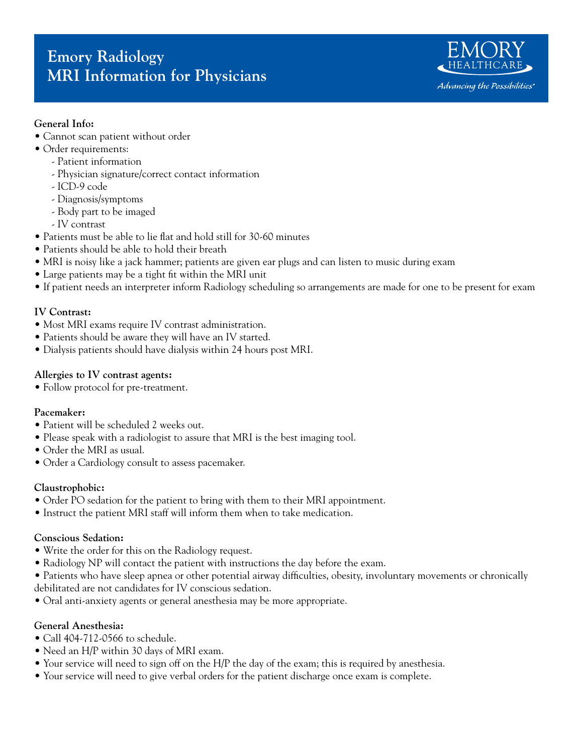# **Emory Radiology MRI Information for Physicians**



## **General Info:**

- Cannot scan patient without order
- Order requirements:
	- Patient information
	- Physician signature/correct contact information
	- ICD-9 code
	- Diagnosis/symptoms
	- Body part to be imaged
	- IV contrast
- Patients must be able to lie flat and hold still for 30-60 minutes
- Patients should be able to hold their breath
- MRI is noisy like a jack hammer; patients are given ear plugs and can listen to music during exam
- Large patients may be a tight fit within the MRI unit
- If patient needs an interpreter inform Radiology scheduling so arrangements are made for one to be present for exam

## **IV Contrast:**

- Most MRI exams require IV contrast administration.
- Patients should be aware they will have an IV started.
- Dialysis patients should have dialysis within 24 hours post MRI.

#### **Allergies to IV contrast agents:**

• Follow protocol for pre-treatment.

#### **Pacemaker:**

- Patient will be scheduled 2 weeks out.
- Please speak with a radiologist to assure that MRI is the best imaging tool.
- Order the MRI as usual.
- Order a Cardiology consult to assess pacemaker.

#### **Claustrophobic:**

- Order PO sedation for the patient to bring with them to their MRI appointment.
- Instruct the patient MRI staff will inform them when to take medication.

#### **Conscious Sedation:**

- Write the order for this on the Radiology request.
- Radiology NP will contact the patient with instructions the day before the exam.
- Patients who have sleep apnea or other potential airway difficulties, obesity, involuntary movements or chronically debilitated are not candidates for IV conscious sedation.
- Oral anti-anxiety agents or general anesthesia may be more appropriate.

### **General Anesthesia:**

- Call 404-712-0566 to schedule.
- Need an H/P within 30 days of MRI exam.
- Your service will need to sign off on the H/P the day of the exam; this is required by anesthesia.
- Your service will need to give verbal orders for the patient discharge once exam is complete.